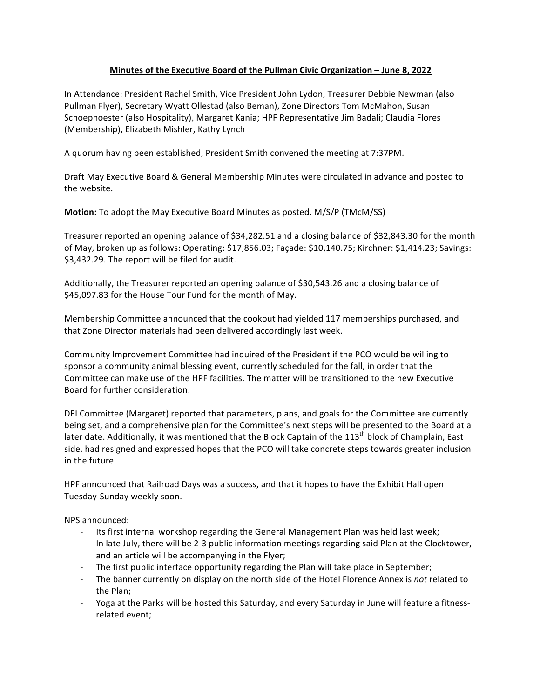## **Minutes of the Executive Board of the Pullman Civic Organization – June 8, 2022**

In Attendance: President Rachel Smith, Vice President John Lydon, Treasurer Debbie Newman (also Pullman Flyer), Secretary Wyatt Ollestad (also Beman), Zone Directors Tom McMahon, Susan Schoephoester (also Hospitality), Margaret Kania; HPF Representative Jim Badali; Claudia Flores (Membership), Elizabeth Mishler, Kathy Lynch

A quorum having been established, President Smith convened the meeting at 7:37PM.

Draft May Executive Board & General Membership Minutes were circulated in advance and posted to the website.

**Motion:** To adopt the May Executive Board Minutes as posted. M/S/P (TMcM/SS)

Treasurer reported an opening balance of \$34,282.51 and a closing balance of \$32,843.30 for the month of May, broken up as follows: Operating: \$17,856.03; Façade: \$10,140.75; Kirchner: \$1,414.23; Savings: \$3,432.29. The report will be filed for audit.

Additionally, the Treasurer reported an opening balance of \$30,543.26 and a closing balance of \$45,097.83 for the House Tour Fund for the month of May.

Membership Committee announced that the cookout had yielded 117 memberships purchased, and that Zone Director materials had been delivered accordingly last week.

Community Improvement Committee had inquired of the President if the PCO would be willing to sponsor a community animal blessing event, currently scheduled for the fall, in order that the Committee can make use of the HPF facilities. The matter will be transitioned to the new Executive Board for further consideration.

DEI Committee (Margaret) reported that parameters, plans, and goals for the Committee are currently being set, and a comprehensive plan for the Committee's next steps will be presented to the Board at a later date. Additionally, it was mentioned that the Block Captain of the 113<sup>th</sup> block of Champlain, East side, had resigned and expressed hopes that the PCO will take concrete steps towards greater inclusion in the future.

HPF announced that Railroad Days was a success, and that it hopes to have the Exhibit Hall open Tuesday-Sunday weekly soon.

NPS announced:

- Its first internal workshop regarding the General Management Plan was held last week;
- In late July, there will be 2-3 public information meetings regarding said Plan at the Clocktower, and an article will be accompanying in the Flyer;
- The first public interface opportunity regarding the Plan will take place in September;
- The banner currently on display on the north side of the Hotel Florence Annex is not related to the Plan;
- Yoga at the Parks will be hosted this Saturday, and every Saturday in June will feature a fitnessrelated event;